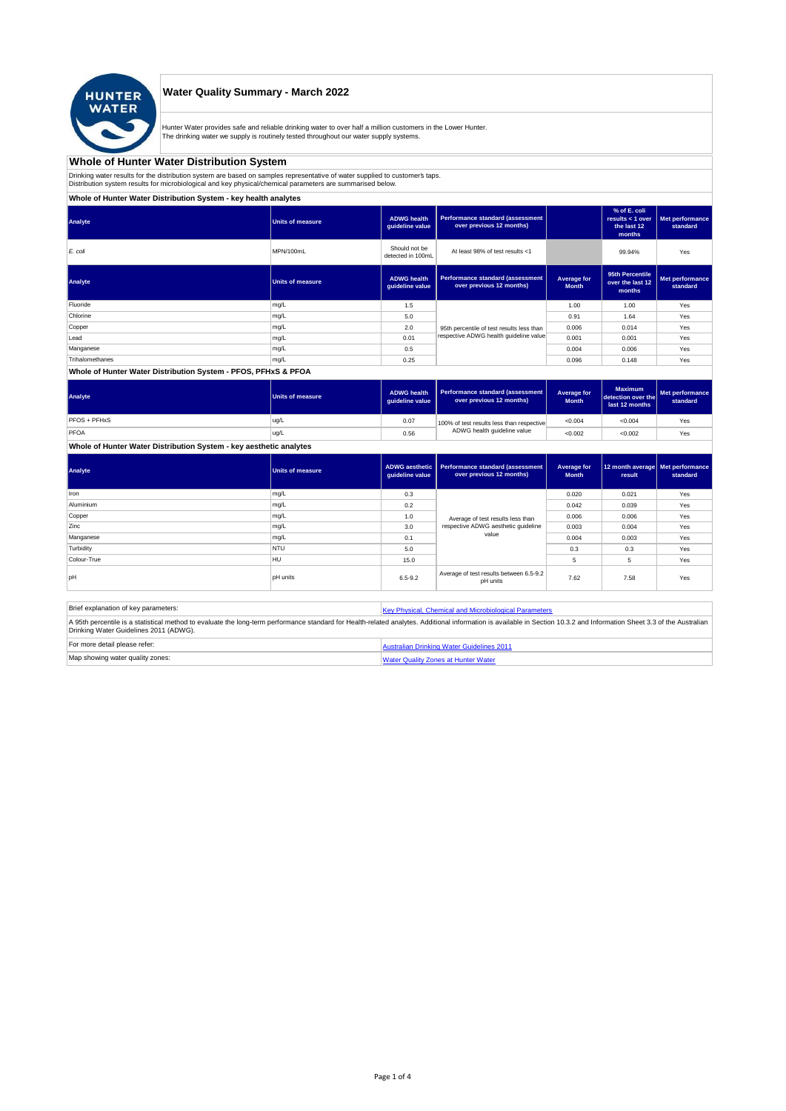

## **Water Quality Summary - March 2022**

Hunter Water provides safe and reliable drinking water to over half a million customers in the Lower Hunter. The drinking water we supply is routinely tested throughout our water supply systems.

# **Whole of Hunter Water Distribution System**

Drinking water results for the distribution system are based on samples representative of water supplied to customer' taps.<br>Distribution system results for microbiological and key physical/chemical parameters are summarise

**Whole of Hunter Water Distribution System - key health analytes**

| Analyte         | Units of measure        | <b>ADWG</b> health<br>guideline value | Performance standard (assessment<br>over previous 12 months) |                             | % of E. coli<br>results $<$ 1 over<br>the last 12<br>months | Met performance<br>standard |
|-----------------|-------------------------|---------------------------------------|--------------------------------------------------------------|-----------------------------|-------------------------------------------------------------|-----------------------------|
| E. coli         | MPN/100mL               | Should not be<br>detected in 100mL    | At least 98% of test results <1                              |                             | 99.94%                                                      | Yes                         |
| Analyte         | <b>Units of measure</b> | <b>ADWG health</b><br>quideline value | Performance standard (assessment<br>over previous 12 months) | Average for<br><b>Month</b> | 95th Percentile<br>over the last 12<br>months               | Met performance<br>standard |
| Fluoride        | mg/L                    | 1.5                                   |                                                              | 1.00                        | 1.00                                                        | Yes                         |
| Chlorine        | mg/L                    | 5.0                                   |                                                              | 0.91                        | 1.64                                                        | Yes                         |
| Copper          | mg/L                    | 2.0                                   | 95th percentile of test results less than                    | 0.006                       | 0.014                                                       | Yes                         |
| Lead            | mg/L                    | 0.01                                  | respective ADWG health quideline value                       | 0.001                       | 0.001                                                       | Yes                         |
| Manganese       | mg/L                    | 0.5                                   |                                                              | 0.004                       | 0.006                                                       | Yes                         |
| Trihalomethanes | mg/L                    | 0.25                                  |                                                              | 0.096                       | 0.148                                                       | Yes                         |
|                 |                         |                                       |                                                              |                             |                                                             |                             |

### **Whole of Hunter Water Distribution System - PFOS, PFHxS & PFOA**

| Analyte      | <b>Units of measure</b> | <b>ADWG health</b><br>quideline value | Performance standard (assessment<br>over previous 12 months) | <b>Average for</b><br><b>Month</b> | <b>Maximum</b><br>detection over the<br>last 12 months | <b>I</b> Met performance<br>standard |
|--------------|-------------------------|---------------------------------------|--------------------------------------------------------------|------------------------------------|--------------------------------------------------------|--------------------------------------|
| PFOS + PFHxS | ug/L                    | 0.07                                  | 100% of test results less than respective                    | < 0.004                            | < 0.004                                                | Yes                                  |
| PFOA         | ug/L                    | 0.56                                  | ADWG health guideline value                                  | < 0.002                            | < 0.002                                                | Yes                                  |

### **Whole of Hunter Water Distribution System - key aesthetic analytes**

| Analyte     | Units of measure | guideline value | ADWG aesthetic   Performance standard (assessment<br>over previous 12 months) | Average for<br><b>Month</b> | 12 month average   Met performance<br>result | standard |
|-------------|------------------|-----------------|-------------------------------------------------------------------------------|-----------------------------|----------------------------------------------|----------|
| Iron        | mg/L             | 0.3             |                                                                               | 0.020                       | 0.021                                        | Yes      |
| Aluminium   | mg/L             | 0.2             |                                                                               | 0.042                       | 0.039                                        | Yes      |
| Copper      | mg/L             | 1.0             | Average of test results less than<br>respective ADWG aesthetic quideline      | 0.006                       | 0.006                                        | Yes      |
| Zinc        | mg/L             | 3.0             |                                                                               | 0.003                       | 0.004                                        | Yes      |
| Manganese   | mg/L             | 0.1             | value                                                                         | 0.004                       | 0.003                                        | Yes      |
| Turbidity   | <b>NTU</b>       | 5.0             |                                                                               | 0.3                         | 0.3                                          | Yes      |
| Colour-True | HU               | 15.0            |                                                                               | 5                           | 5                                            | Yes      |
| loH         | <b>pH</b> units  | $6.5 - 9.2$     | Average of test results between 6.5-9.2<br>pH units                           | 7.62                        | 7.58                                         | Yes      |

| Brief explanation of key parameters:   | Key Physical, Chemical and Microbiological Parameters                                                                                                                                                                   |
|----------------------------------------|-------------------------------------------------------------------------------------------------------------------------------------------------------------------------------------------------------------------------|
| Drinking Water Guidelines 2011 (ADWG). | A 95th percentile is a statistical method to evaluate the long-term performance standard for Health-related analytes. Additional information is available in Section 10.3.2 and Information Sheet 3.3 of the Australian |
| For more detail please refer:          | Australian Drinking Water Guidelines 2011                                                                                                                                                                               |
| Map showing water quality zones:       | <b>Water Quality Zones at Hunter Water</b>                                                                                                                                                                              |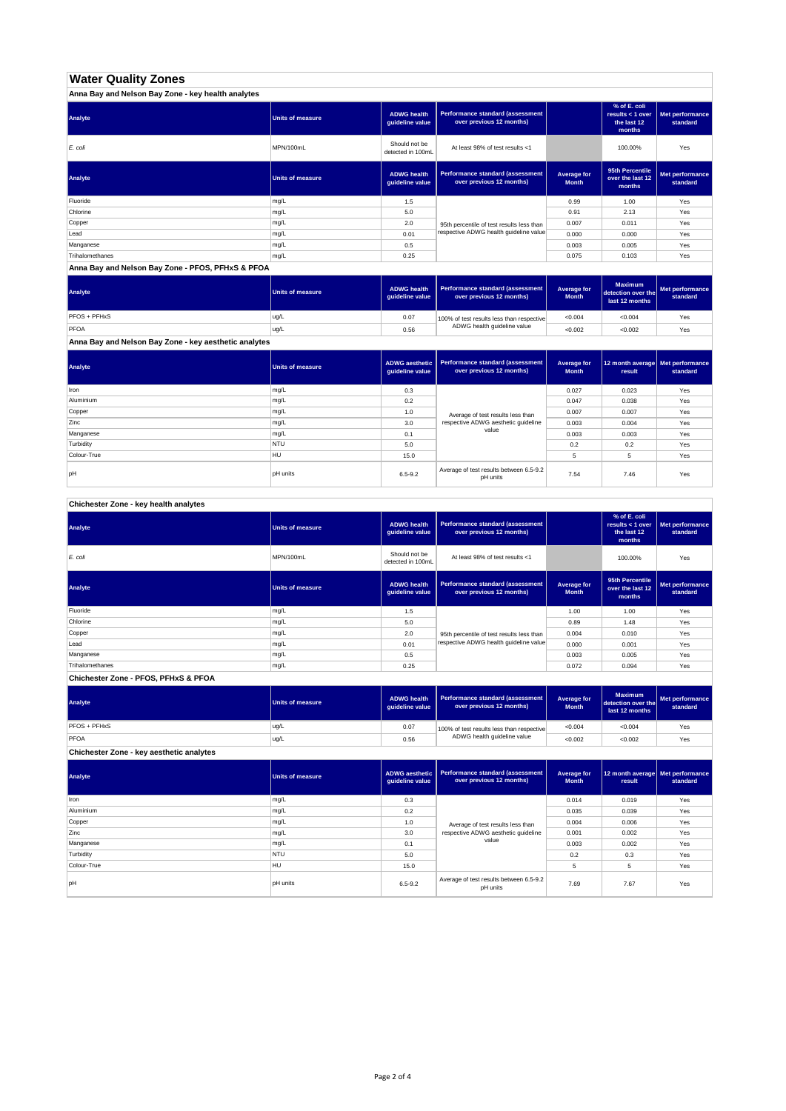# **Water Quality Zones**

| Anna Bay and Nelson Bay Zone - key health analytes |                  |                                       |                                                                     |                             |                                                           |                             |
|----------------------------------------------------|------------------|---------------------------------------|---------------------------------------------------------------------|-----------------------------|-----------------------------------------------------------|-----------------------------|
| Analyte                                            | Units of measure | <b>ADWG health</b><br>guideline value | <b>Performance standard (assessment</b><br>over previous 12 months) |                             | % of E. coli<br>results < 1 over<br>the last 12<br>months | Met performance<br>standard |
| E. coli                                            | MPN/100mL        | Should not be<br>detected in 100mL    | At least 98% of test results <1                                     |                             | 100.00%                                                   | Yes                         |
| Analyte                                            | Units of measure | <b>ADWG health</b><br>guideline value | <b>Performance standard (assessment</b><br>over previous 12 months) | Average for<br><b>Month</b> | 95th Percentile<br>over the last 12<br>months             | Met performance<br>standard |
| Fluoride                                           | mg/L             | 1.5                                   |                                                                     | 0.99                        | 1.00                                                      | Yes                         |
| Chlorine                                           | mg/L             | 5.0                                   |                                                                     | 0.91                        | 2.13                                                      | Yes                         |
| Copper                                             | mg/L             | 2.0                                   | 95th percentile of test results less than                           | 0.007                       | 0.011                                                     | Yes                         |
| Lead                                               | mg/L             | 0.01                                  | respective ADWG health guideline value                              | 0.000                       | 0.000                                                     | Yes                         |
| Manganese                                          | mg/L             | 0.5                                   |                                                                     | 0.003                       | 0.005                                                     | Yes                         |
| Trihalomethanes                                    | mg/L             | 0.25                                  |                                                                     | 0.075                       | 0.103                                                     | Yes                         |

**Anna Bay and Nelson Bay Zone - PFOS, PFHxS & PFOA**

| Analyte      | Units of measure | <b>ADWG health</b><br>quideline value | Performance standard (assessment<br>over previous 12 months) | <b>Average for</b><br><b>Month</b> | <b>Maximum</b><br>detection over the<br>last 12 months | Met performance<br>standard |
|--------------|------------------|---------------------------------------|--------------------------------------------------------------|------------------------------------|--------------------------------------------------------|-----------------------------|
| PFOS + PFHxS | ug/L             | 0.07                                  | 100% of test results less than respective                    | < 0.004                            | < 0.004                                                | Yes                         |
| PFOA         | ug/L             | 0.56                                  | ADWG health guideline value                                  | < 0.002                            | < 0.002                                                | Yes                         |

**Anna Bay and Nelson Bay Zone - key aesthetic analytes**

| Analyte     | Units of measure | ADWG aesthetic  <br>guideline value | Performance standard (assessment<br>over previous 12 months) | Average for<br><b>Month</b> | 12 month average   Met performance<br>result | standard |
|-------------|------------------|-------------------------------------|--------------------------------------------------------------|-----------------------------|----------------------------------------------|----------|
| Iron        | mg/L             | 0.3                                 |                                                              | 0.027                       | 0.023                                        | Yes      |
| Aluminium   | mg/L             | 0.2                                 |                                                              | 0.047                       | 0.038                                        | Yes      |
| Copper      | mg/L             | 1.0                                 | Average of test results less than                            | 0.007                       | 0.007                                        | Yes      |
| Zinc        | mg/L             | 3.0                                 | respective ADWG aesthetic quideline                          | 0.003                       | 0.004                                        | Yes      |
| Manganese   | mg/L             | 0.1                                 | value                                                        | 0.003                       | 0.003                                        | Yes      |
| Turbidity   | <b>NTU</b>       | 5.0                                 |                                                              | 0.2                         | 0.2                                          | Yes      |
| Colour-True | HU               | 15.0                                |                                                              |                             | 5                                            | Yes      |
| pH          | <b>pH</b> units  | $6.5 - 9.2$                         | Average of test results between 6.5-9.2<br>pH units          | 7.54                        | 7.46                                         | Yes      |

**Chichester Zone - key health analytes**

| Analyte         | <b>Units of measure</b> | <b>ADWG health</b><br>guideline value | Performance standard (assessment<br>over previous 12 months) |                             | % of E. coli<br>results < 1 over<br>the last 12<br>months | Met performance<br>standard |
|-----------------|-------------------------|---------------------------------------|--------------------------------------------------------------|-----------------------------|-----------------------------------------------------------|-----------------------------|
| E. coli         | MPN/100mL               | Should not be<br>detected in 100mL    | At least 98% of test results <1                              |                             | 100.00%                                                   | Yes                         |
| Analyte         | Units of measure        | <b>ADWG health</b><br>guideline value | Performance standard (assessment<br>over previous 12 months) | Average for<br><b>Month</b> | 95th Percentile<br>over the last 12<br>months             | Met performance<br>standard |
| Fluoride        | mg/L                    | 1.5                                   |                                                              | 1.00                        | 1.00                                                      | Yes                         |
| Chlorine        | mg/L                    | 5.0                                   |                                                              | 0.89                        | 1.48                                                      | Yes                         |
| Copper          | mg/L                    | 2.0                                   | 95th percentile of test results less than                    | 0.004                       | 0.010                                                     | Yes                         |
| Lead            | mg/L                    | 0.01                                  | respective ADWG health quideline value                       | 0.000                       | 0.001                                                     | Yes                         |
| Manganese       | mg/L                    | 0.5                                   |                                                              | 0.003                       | 0.005                                                     | Yes                         |
| Trihalomethanes | mg/L                    | 0.25                                  |                                                              | 0.072                       | 0.094                                                     | Yes                         |

**Chichester Zone - PFOS, PFHxS & PFOA**

| Analyte      | Units of measure | <b>ADWG health</b><br>quideline value | Performance standard (assessment<br>over previous 12 months) | Average for<br><b>Month</b> | <b>Maximum</b><br>detection over the<br>last 12 months | Met performance<br>standard |
|--------------|------------------|---------------------------------------|--------------------------------------------------------------|-----------------------------|--------------------------------------------------------|-----------------------------|
| PFOS + PFHxS | ug/L             | 0.07                                  | 100% of test results less than respective                    | < 0.004                     | < 0.004                                                | Yes                         |
| PFOA         | ug/L             | 0.56                                  | ADWG health guideline value                                  | < 0.002                     | < 0.002                                                | Yes                         |

**Chichester Zone - key aesthetic analytes**

| Analyte     | <b>Units of measure</b> | ADWG aesthetic<br>guideline value | Performance standard (assessment<br>over previous 12 months) | Average for<br><b>Month</b> | 12 month average Met performance<br>result | standard |
|-------------|-------------------------|-----------------------------------|--------------------------------------------------------------|-----------------------------|--------------------------------------------|----------|
| Iron        | mg/L                    | 0.3                               |                                                              | 0.014                       | 0.019                                      | Yes      |
| Aluminium   | mg/L                    | 0.2                               |                                                              | 0.035                       | 0.039                                      | Yes      |
| Copper      | mg/L                    | 1.0                               | Average of test results less than                            | 0.004                       | 0.006                                      | Yes      |
| Zinc        | mg/L                    | 3.0                               | respective ADWG aesthetic quideline                          | 0.001                       | 0.002                                      | Yes      |
| Manganese   | mg/L                    | 0.1                               | value                                                        | 0.003                       | 0.002                                      | Yes      |
| Turbidity   | <b>NTU</b>              | 5.0                               |                                                              | 0.2                         | 0.3                                        | Yes      |
| Colour-True | <b>HU</b>               | 15.0                              |                                                              | 5                           | 5                                          | Yes      |
| pH          | <b>pH</b> units         | $6.5 - 9.2$                       | Average of test results between 6.5-9.2<br>pH units          | 7.69                        | 7.67                                       | Yes      |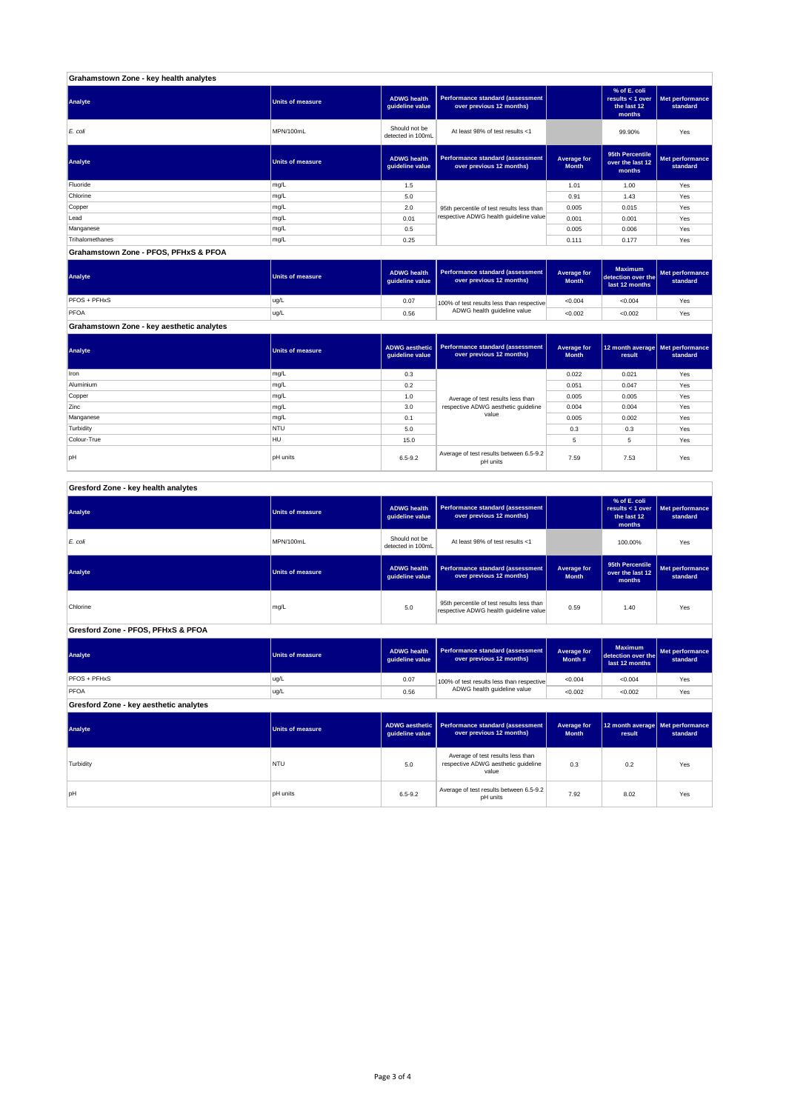| Grahamstown Zone - key health analytes |                         |                                       |                                                              |                             |                                                           |                             |
|----------------------------------------|-------------------------|---------------------------------------|--------------------------------------------------------------|-----------------------------|-----------------------------------------------------------|-----------------------------|
| Analyte                                | <b>Units of measure</b> | <b>ADWG health</b><br>guideline value | Performance standard (assessment<br>over previous 12 months) |                             | % of E. coli<br>results < 1 over<br>the last 12<br>months | Met performance<br>standard |
| E. coli                                | MPN/100mL               | Should not be<br>detected in 100mL    | At least 98% of test results <1                              |                             | 99.90%                                                    | Yes                         |
| Analyte                                | <b>Units of measure</b> | <b>ADWG health</b><br>quideline value | Performance standard (assessment<br>over previous 12 months) | Average for<br><b>Month</b> | 95th Percentile<br>over the last 12<br>months             | Met performance<br>standard |
| Fluoride                               | mg/L                    | 1.5                                   |                                                              | 1.01                        | 1.00                                                      | Yes                         |
| Chlorine                               | mg/L                    | 5.0                                   |                                                              | 0.91                        | 1.43                                                      | Yes                         |
| Copper                                 | mg/L                    | 2.0                                   | 95th percentile of test results less than                    | 0.005                       | 0.015                                                     | Yes                         |
| Lead                                   | mg/L                    | 0.01                                  | respective ADWG health guideline value                       | 0.001                       | 0.001                                                     | Yes                         |
| Manganese                              | mg/L                    | 0.5                                   |                                                              | 0.005                       | 0.006                                                     | Yes                         |
| Trihalomethanes                        | mg/L                    | 0.25                                  |                                                              | 0.111                       | 0.177                                                     | Yes                         |
| Grahamstown Zone - PFOS, PFHxS & PFOA  |                         |                                       |                                                              |                             |                                                           |                             |

**ADWG health guideline value Average for Month Maximum detection over the last 12 months Met performance standard** 0.07 100% of test results less than respective  $\sim 0.004$   $\sim 0.004$  Yes 0.56 <0.002 <0.002 Yes PFOS + PFHxS ug/L PFOA ug/L 100% of test results less than respective ADWG health guideline value **Analyte Performance standard (assessment <b>Performance standard (assessment Performance standard (assessment Performance standard (assessment Performance standard (assessment** 

**Grahamstown Zone - key aesthetic analytes**

| Analyte     | <b>Units of measure</b> | guideline value | ADWG aesthetic   Performance standard (assessment  <br>over previous 12 months) | Average for<br><b>Month</b> | 12 month average   Met performance<br>result | standard |
|-------------|-------------------------|-----------------|---------------------------------------------------------------------------------|-----------------------------|----------------------------------------------|----------|
| Iron        | mg/L                    | 0.3             |                                                                                 | 0.022                       | 0.021                                        | Yes      |
| Aluminium   | mg/L                    | 0.2             |                                                                                 | 0.051                       | 0.047                                        | Yes      |
| Copper      | mg/L                    | 1.0             | Average of test results less than                                               | 0.005                       | 0.005                                        | Yes      |
| Zinc        | mg/L                    | 3.0             | respective ADWG aesthetic guideline                                             | 0.004                       | 0.004                                        | Yes      |
| Manganese   | mg/L                    | 0.1             | value                                                                           | 0.005                       | 0.002                                        | Yes      |
| Turbidity   | <b>NTU</b>              | 5.0             |                                                                                 | 0.3                         | 0.3                                          | Yes      |
| Colour-True | HU                      | 15.0            |                                                                                 | 5                           | 5                                            | Yes      |
| pH          | <b>pH</b> units         | $6.5 - 9.2$     | Average of test results between 6.5-9.2<br>pH units                             | 7.59                        | 7.53                                         | Yes      |

#### **ADWG health guideline value % of E. coli results < 1 over the last 12 months Met performance standard** Should not be<br>detected in 100ml detected in 100mL 100.00% Yes *E. coli* MPN/100mL At least 98% of test results <1 **ADWG health guideline value Average for Month 95th Percentile over the last 12 months Met performance standard** mg/L 95.0 percentile of test results less than percentile of test respective ADWG health guideline value of the metalline of the metalline value of the metalline value of the metalline value of the metalline value of the m **ADWG health guideline value Average for Month # Maximum detection over the last 12 months Met performance standard** 0.07 100% of test results less than respective  $\sim 0.004$   $\sim 0.004$  Yes 0.56 <0.002 <0.002 Yes **ADWG aesthetic guideline value Average for Month 12 month average result Met performance standard** 5.0 0.3 0.2 Yes Average of test results less than respective ADWG aesthetic guideline pH units 6.5-9.2 Average of test results between 6.5-9.2 7.92 8.02 Yes<br>Average of test results between 6.5-9.2 7.92 8.02 Yes **Gresford Zone - key aesthetic analytes Analyte Performance standard (assessment Performance standard (assessment Performance standard (assessment Performance standard (assessment performance standard (assessment**) **Turbidity** NTU value **PFOS + PFHxS** ug/L PFOA ug/L 100% of test results less than respective ADWG health guideline value **Gresford Zone - PFOS, PFHxS & PFOA Analyte Performance standard (assessment <b>Performance standard (assessment Performance standard (assessment Performance standard (assessment performance standard (assessment Analyte Performance standard (assessment <b>Performance standard (assessment Performance standard (assessment Performance standard (assessment Performance standard (assessment Gresford Zone - key health analytes Analyte Performance standard (assessment Performance standard (assessment Performance standard (assessment Performance standard (assessment performance standard (assessment**